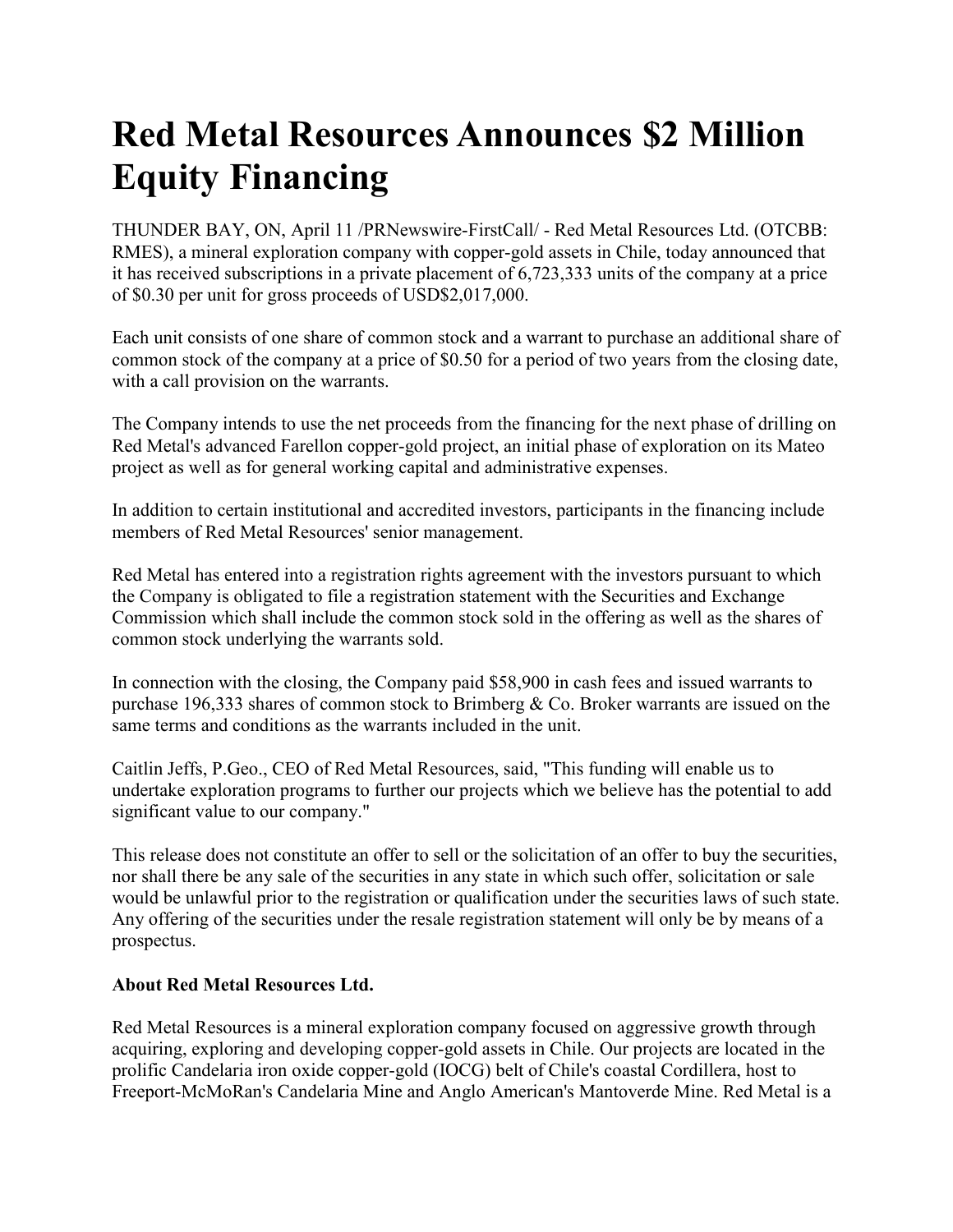## **Red Metal Resources Announces \$2 Million Equity Financing**

THUNDER BAY, ON, April 11 /PRNewswire-FirstCall/ - Red Metal Resources Ltd. (OTCBB: RMES), a mineral exploration company with copper-gold assets in Chile, today announced that it has received subscriptions in a private placement of 6,723,333 units of the company at a price of \$0.30 per unit for gross proceeds of USD\$2,017,000.

Each unit consists of one share of common stock and a warrant to purchase an additional share of common stock of the company at a price of \$0.50 for a period of two years from the closing date, with a call provision on the warrants.

The Company intends to use the net proceeds from the financing for the next phase of drilling on Red Metal's advanced Farellon copper-gold project, an initial phase of exploration on its Mateo project as well as for general working capital and administrative expenses.

In addition to certain institutional and accredited investors, participants in the financing include members of Red Metal Resources' senior management.

Red Metal has entered into a registration rights agreement with the investors pursuant to which the Company is obligated to file a registration statement with the Securities and Exchange Commission which shall include the common stock sold in the offering as well as the shares of common stock underlying the warrants sold.

In connection with the closing, the Company paid \$58,900 in cash fees and issued warrants to purchase 196,333 shares of common stock to Brimberg & Co. Broker warrants are issued on the same terms and conditions as the warrants included in the unit.

Caitlin Jeffs, P.Geo., CEO of Red Metal Resources, said, "This funding will enable us to undertake exploration programs to further our projects which we believe has the potential to add significant value to our company."

This release does not constitute an offer to sell or the solicitation of an offer to buy the securities, nor shall there be any sale of the securities in any state in which such offer, solicitation or sale would be unlawful prior to the registration or qualification under the securities laws of such state. Any offering of the securities under the resale registration statement will only be by means of a prospectus.

## **About Red Metal Resources Ltd.**

Red Metal Resources is a mineral exploration company focused on aggressive growth through acquiring, exploring and developing copper-gold assets in Chile. Our projects are located in the prolific Candelaria iron oxide copper-gold (IOCG) belt of Chile's coastal Cordillera, host to Freeport-McMoRan's Candelaria Mine and Anglo American's Mantoverde Mine. Red Metal is a